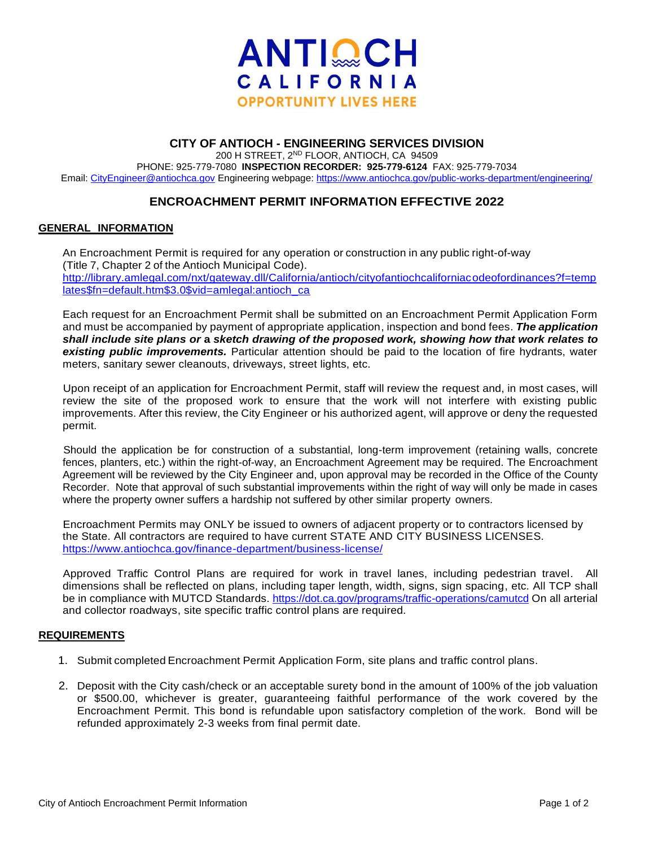

## **CITY OF ANTIOCH - ENGINEERING SERVICES DIVISION**

200 H STREET, 2ND FLOOR, ANTIOCH, CA 94509 PHONE: 925-779-7080 **INSPECTION RECORDER: 925-779-6124** FAX: 925-779-7034 Email[: CityEngineer@antiochca.gov](mailto:CityEngineer@antiochca.gov) Engineering webpage:<https://www.antiochca.gov/public-works-department/engineering/>

# **ENCROACHMENT PERMIT INFORMATION EFFECTIVE 2022**

### **GENERAL INFORMATION**

An Encroachment Permit is required for any operation or construction in any public right-of-way (Title 7, Chapter 2 of the Antioch Municipal Code). [http://library.amlegal.com/nxt/gateway.dll/California/antioch/cityofantiochcaliforniacodeofordinances?f=temp](http://library.amlegal.com/nxt/gateway.dll/California/antioch/cityofantiochcaliforniacodeofordinances?f=templates$fn=default.htm$3.0$vid=amlegal:antioch_ca) [lates\\$fn=default.htm\\$3.0\\$vid=amlegal:antioch\\_ca](http://library.amlegal.com/nxt/gateway.dll/California/antioch/cityofantiochcaliforniacodeofordinances?f=templates$fn=default.htm$3.0$vid=amlegal:antioch_ca)

Each request for an Encroachment Permit shall be submitted on an Encroachment Permit Application Form and must be accompanied by payment of appropriate application, inspection and bond fees. *The application shall include site plans or* **a** *sketch drawing of the proposed work, showing how that work relates to existing public improvements.* Particular attention should be paid to the location of fire hydrants, water meters, sanitary sewer cleanouts, driveways, street lights, etc.

Upon receipt of an application for Encroachment Permit, staff will review the request and, in most cases, will review the site of the proposed work to ensure that the work will not interfere with existing public improvements. After this review, the City Engineer or his authorized agent, will approve or deny the requested permit.

Should the application be for construction of a substantial, long-term improvement (retaining walls, concrete fences, planters, etc.) within the right-of-way, an Encroachment Agreement may be required. The Encroachment Agreement will be reviewed by the City Engineer and, upon approval may be recorded in the Office of the County Recorder. Note that approval of such substantial improvements within the right of way will only be made in cases where the property owner suffers a hardship not suffered by other similar property owners.

Encroachment Permits may ONLY be issued to owners of adjacent property or to contractors licensed by the State. All contractors are required to have current STATE AND CITY BUSINESS LICENSES. <https://www.antiochca.gov/finance-department/business-license/>

Approved Traffic Control Plans are required for work in travel lanes, including pedestrian travel. All dimensions shall be reflected on plans, including taper length, width, signs, sign spacing, etc. All TCP shall be in compliance with MUTCD Standards.<https://dot.ca.gov/programs/traffic-operations/camutcd> On all arterial and collector roadways, site specific traffic control plans are required.

#### **REQUIREMENTS**

- 1. Submit completed Encroachment Permit Application Form, site plans and traffic control plans.
- 2. Deposit with the City cash/check or an acceptable surety bond in the amount of 100% of the job valuation or \$500.00, whichever is greater, guaranteeing faithful performance of the work covered by the Encroachment Permit. This bond is refundable upon satisfactory completion of the work. Bond will be refunded approximately 2-3 weeks from final permit date.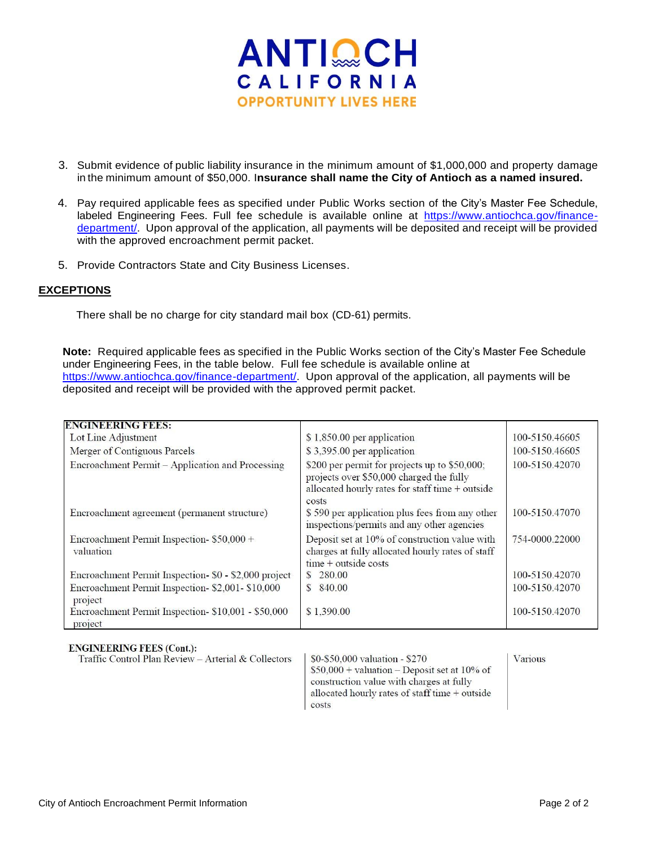

- 3. Submit evidence of public liability insurance in the minimum amount of \$1,000,000 and property damage in the minimum amount of \$50,000. I**nsurance shall name the City of Antioch as a named insured.**
- 4. Pay required applicable fees as specified under Public Works section of the City's Master Fee Schedule, labeled Engineering Fees. Full fee schedule is available online at [https://www.antiochca.gov/finance](https://www.antiochca.gov/finance-department/)[department/.](https://www.antiochca.gov/finance-department/) Upon approval of the application, all payments will be deposited and receipt will be provided with the approved encroachment permit packet.
- 5. Provide Contractors State and City Business Licenses.

### **EXCEPTIONS**

There shall be no charge for city standard mail box (CD-61) permits.

**Note:** Required applicable fees as specified in the Public Works section of the City's Master Fee Schedule under Engineering Fees, in the table below. Full fee schedule is available online at [https://www.antiochca.gov/finance-department/.](https://www.antiochca.gov/finance-department/) Upon approval of the application, all payments will be deposited and receipt will be provided with the approved permit packet.

| <b>ENGINEERING FEES:</b>                                       |                                                                                                                                                       |                |
|----------------------------------------------------------------|-------------------------------------------------------------------------------------------------------------------------------------------------------|----------------|
| Lot Line Adjustment                                            | \$1,850.00 per application                                                                                                                            | 100-5150.46605 |
| Merger of Contiguous Parcels                                   | \$3,395.00 per application                                                                                                                            | 100-5150.46605 |
| Encroachment Permit - Application and Processing               | \$200 per permit for projects up to \$50,000;<br>projects over \$50,000 charged the fully<br>allocated hourly rates for staff time + outside<br>costs | 100-5150.42070 |
| Encroachment agreement (permanent structure)                   | \$590 per application plus fees from any other<br>inspections/permits and any other agencies                                                          | 100-5150.47070 |
| Encroachment Permit Inspection- \$50,000 +<br>valuation        | Deposit set at 10% of construction value with<br>charges at fully allocated hourly rates of staff<br>$time + outside costs$                           | 754-0000.22000 |
| Encroachment Permit Inspection- \$0 - \$2,000 project          | 280.00<br><sup>S</sup>                                                                                                                                | 100-5150.42070 |
| Encroachment Permit Inspection-\$2,001-\$10,000<br>project     | 840.00<br>S                                                                                                                                           | 100-5150.42070 |
| Encroachment Permit Inspection- \$10,001 - \$50,000<br>project | \$1,390.00                                                                                                                                            | 100-5150.42070 |

Traffic Control Plan Review - Arterial & Collectors

\$0-\$50,000 valuation - \$270  $$50,000 +$  valuation – Deposit set at 10% of construction value with charges at fully allocated hourly rates of staff time + outside costs

Various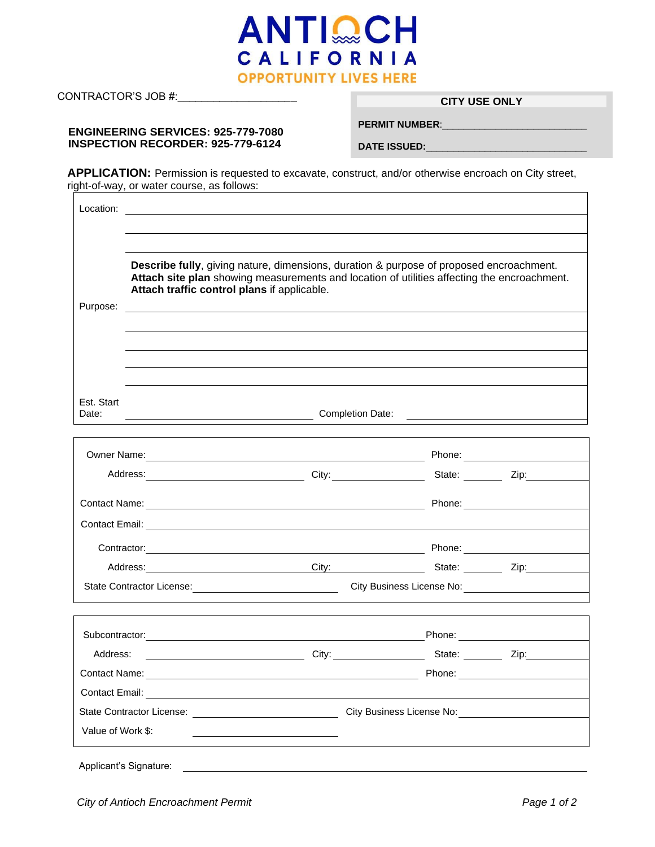

CONTRACTOR'S JOB #:\_\_\_\_\_\_\_\_\_\_\_\_\_\_\_\_\_\_\_\_ **CITY USE ONLY**

#### **ENGINEERING SERVICES: 925-779-7080 INSPECTION RECORDER: 925-779-6124**

 $\overline{\mathbf{1}}$ 

**PERMIT NUMBER:** 

**DATE ISSUED:**\_\_\_\_\_\_\_\_\_\_\_\_\_\_\_\_\_\_\_\_\_\_\_\_\_\_\_\_\_\_

**APPLICATION:** Permission is requested to excavate, construct, and/or otherwise encroach on City street, right-of-way, or water course, as follows:

| Purpose:             | <b>Describe fully</b> , giving nature, dimensions, duration & purpose of proposed encroachment.<br>Attach site plan showing measurements and location of utilities affecting the encroachment.<br>Attach traffic control plans if applicable.<br><u> 1999 - Johann Stoff, deutscher Stoffen und der Stoffen und der Stoffen und der Stoffen und der Stoffen und der</u> |                                                                                                                                                                                                                                     |                                                     |                         |  |  |
|----------------------|-------------------------------------------------------------------------------------------------------------------------------------------------------------------------------------------------------------------------------------------------------------------------------------------------------------------------------------------------------------------------|-------------------------------------------------------------------------------------------------------------------------------------------------------------------------------------------------------------------------------------|-----------------------------------------------------|-------------------------|--|--|
|                      |                                                                                                                                                                                                                                                                                                                                                                         |                                                                                                                                                                                                                                     |                                                     |                         |  |  |
|                      |                                                                                                                                                                                                                                                                                                                                                                         |                                                                                                                                                                                                                                     |                                                     |                         |  |  |
|                      |                                                                                                                                                                                                                                                                                                                                                                         |                                                                                                                                                                                                                                     |                                                     |                         |  |  |
| Est. Start<br>Date:  | Completion Date: <u>completion Date:</u>                                                                                                                                                                                                                                                                                                                                |                                                                                                                                                                                                                                     |                                                     |                         |  |  |
|                      |                                                                                                                                                                                                                                                                                                                                                                         | Owner Name: <u>Communication of the Communication</u> Phone: <b>Communication of the Communication</b> Phone:                                                                                                                       |                                                     |                         |  |  |
|                      |                                                                                                                                                                                                                                                                                                                                                                         |                                                                                                                                                                                                                                     |                                                     |                         |  |  |
|                      |                                                                                                                                                                                                                                                                                                                                                                         |                                                                                                                                                                                                                                     |                                                     |                         |  |  |
|                      |                                                                                                                                                                                                                                                                                                                                                                         |                                                                                                                                                                                                                                     |                                                     |                         |  |  |
|                      |                                                                                                                                                                                                                                                                                                                                                                         | Contractor: Phone: Phone: Phone: Phone: Phone: Phone: Phone: Phone: Phone: Phone: Phone: Phone: Phone: Phone: Phone: Phone: Phone: Phone: Phone: Phone: Phone: Phone: Phone: Phone: Phone: Phone: Phone: Phone: Phone: Phone:       |                                                     |                         |  |  |
|                      |                                                                                                                                                                                                                                                                                                                                                                         | Address: Zip: City: City: State: Zip: Zip:                                                                                                                                                                                          |                                                     |                         |  |  |
|                      |                                                                                                                                                                                                                                                                                                                                                                         |                                                                                                                                                                                                                                     |                                                     |                         |  |  |
|                      |                                                                                                                                                                                                                                                                                                                                                                         | Subcontractor: <u>Contractor</u> Contractor: Contractor: Contractor: Contractor: Contractor: Contractor: Contractor: Contractor: Contractor: Contractor: Contractor: Contractor: Contractor: Contractor: Contractor: Contractor: Co |                                                     |                         |  |  |
|                      |                                                                                                                                                                                                                                                                                                                                                                         | City:                                                                                                                                                                                                                               |                                                     | State: <u>Zip:</u> Zip: |  |  |
| <b>Contact Name:</b> |                                                                                                                                                                                                                                                                                                                                                                         |                                                                                                                                                                                                                                     | Phone:                                              |                         |  |  |
|                      |                                                                                                                                                                                                                                                                                                                                                                         |                                                                                                                                                                                                                                     |                                                     |                         |  |  |
|                      |                                                                                                                                                                                                                                                                                                                                                                         |                                                                                                                                                                                                                                     | City Business License No: City Business License No: |                         |  |  |
|                      |                                                                                                                                                                                                                                                                                                                                                                         |                                                                                                                                                                                                                                     |                                                     |                         |  |  |